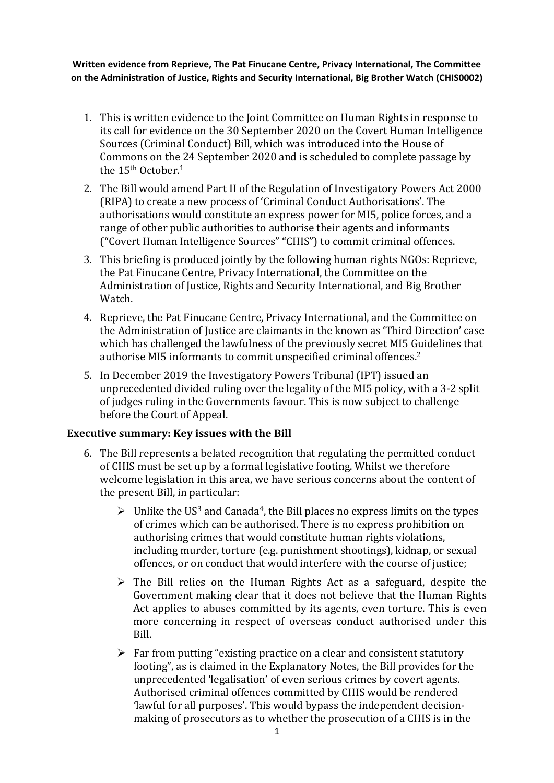**Written evidence from Reprieve, The Pat Finucane Centre, Privacy International, The Committee on the Administration of Justice, Rights and Security International, Big Brother Watch (CHIS0002)**

- 1. This is written evidence to the Joint Committee on Human Rights in response to its call for evidence on the 30 September 2020 on the Covert Human Intelligence Sources (Criminal Conduct) Bill, which was introduced into the House of Commons on the 24 September 2020 and is scheduled to complete passage by the 15<sup>th</sup> October.<sup>1</sup>
- 2. The Bill would amend Part II of the Regulation of Investigatory Powers Act 2000 (RIPA) to create a new process of 'Criminal Conduct Authorisations'. The authorisations would constitute an express power for MI5, police forces, and a range of other public authorities to authorise their agents and informants ("Covert Human Intelligence Sources" "CHIS") to commit criminal offences.
- 3. This briefing is produced jointly by the following human rights NGOs: Reprieve, the Pat Finucane Centre, Privacy International, the Committee on the Administration of Justice, Rights and Security International, and Big Brother Watch.
- 4. Reprieve, the Pat Finucane Centre, Privacy International, and the Committee on the Administration of Justice are claimants in the known as 'Third Direction' case which has challenged the lawfulness of the previously secret MI5 Guidelines that authorise MI5 informants to commit unspecified criminal offences.<sup>2</sup>
- 5. In December 2019 the Investigatory Powers Tribunal (IPT) issued an unprecedented divided ruling over the legality of the MI5 policy, with a 3-2 split of judges ruling in the Governments favour. This is now subject to challenge before the Court of Appeal.

## **Executive summary: Key issues with the Bill**

- 6. The Bill represents a belated recognition that regulating the permitted conduct of CHIS must be set up by a formal legislative footing. Whilst we therefore welcome legislation in this area, we have serious concerns about the content of the present Bill, in particular:
	- $\triangleright$  Unlike the US<sup>3</sup> and Canada<sup>4</sup>, the Bill places no express limits on the types of crimes which can be authorised. There is no express prohibition on authorising crimes that would constitute human rights violations, including murder, torture (e.g. punishment shootings), kidnap, or sexual offences, or on conduct that would interfere with the course of justice;
	- $\triangleright$  The Bill relies on the Human Rights Act as a safeguard, despite the Government making clear that it does not believe that the Human Rights Act applies to abuses committed by its agents, even torture. This is even more concerning in respect of overseas conduct authorised under this Bill.
	- $\triangleright$  Far from putting "existing practice on a clear and consistent statutory footing", as is claimed in the Explanatory Notes, the Bill provides for the unprecedented 'legalisation' of even serious crimes by covert agents. Authorised criminal offences committed by CHIS would be rendered 'lawful for all purposes'. This would bypass the independent decisionmaking of prosecutors as to whether the prosecution of a CHIS is in the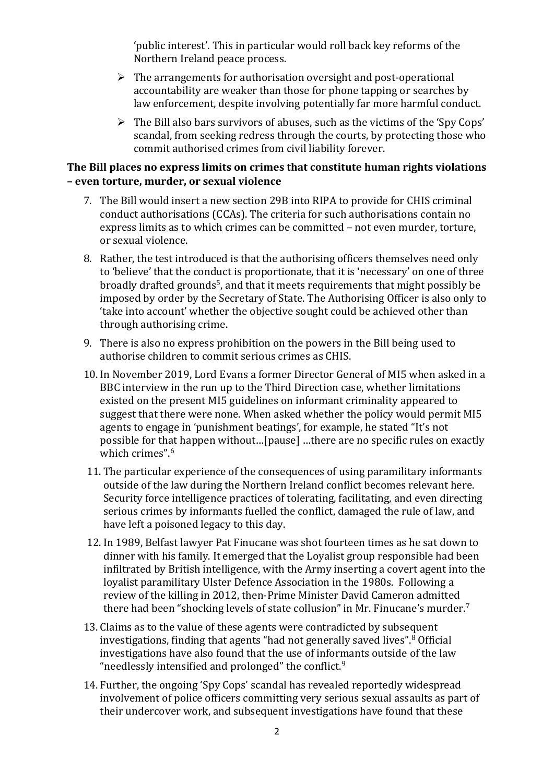'public interest'. This in particular would roll back key reforms of the Northern Ireland peace process.

- $\triangleright$  The arrangements for authorisation oversight and post-operational accountability are weaker than those for phone tapping or searches by law enforcement, despite involving potentially far more harmful conduct.
- $\triangleright$  The Bill also bars survivors of abuses, such as the victims of the 'Spy Cops' scandal, from seeking redress through the courts, by protecting those who commit authorised crimes from civil liability forever.

## **The Bill places no express limits on crimes that constitute human rights violations – even torture, murder, or sexual violence**

- 7. The Bill would insert a new section 29B into RIPA to provide for CHIS criminal conduct authorisations (CCAs). The criteria for such authorisations contain no express limits as to which crimes can be committed – not even murder, torture, or sexual violence.
- 8. Rather, the test introduced is that the authorising officers themselves need only to 'believe' that the conduct is proportionate, that it is 'necessary' on one of three broadly drafted grounds<sup>5</sup>, and that it meets requirements that might possibly be imposed by order by the Secretary of State. The Authorising Officer is also only to 'take into account' whether the objective sought could be achieved other than through authorising crime.
- 9. There is also no express prohibition on the powers in the Bill being used to authorise children to commit serious crimes as CHIS.
- 10. In November 2019, Lord Evans a former Director General of MI5 when asked in a BBC interview in the run up to the Third Direction case, whether limitations existed on the present MI5 guidelines on informant criminality appeared to suggest that there were none. When asked whether the policy would permit MI5 agents to engage in 'punishment beatings', for example, he stated "It's not possible for that happen without…[pause] …there are no specific rules on exactly which crimes".<sup>6</sup>
- 11. The particular experience of the consequences of using paramilitary informants outside of the law during the Northern Ireland conflict becomes relevant here. Security force intelligence practices of tolerating, facilitating, and even directing serious crimes by informants fuelled the conflict, damaged the rule of law, and have left a poisoned legacy to this day.
- 12. In 1989, Belfast lawyer Pat Finucane was shot fourteen times as he sat down to dinner with his family. It emerged that the Loyalist group responsible had been infiltrated by British intelligence, with the Army inserting a covert agent into the loyalist paramilitary Ulster Defence Association in the 1980s. Following a review of the killing in 2012, then-Prime Minister David Cameron admitted there had been "shocking levels of state collusion" in Mr. Finucane's murder.<sup>7</sup>
- 13. Claims as to the value of these agents were contradicted by subsequent investigations, finding that agents "had not generally saved lives". <sup>8</sup> Official investigations have also found that the use of informants outside of the law "needlessly intensified and prolonged" the conflict.<sup>9</sup>
- 14. Further, the ongoing 'Spy Cops' scandal has revealed reportedly widespread involvement of police officers committing very serious sexual assaults as part of their undercover work, and subsequent investigations have found that these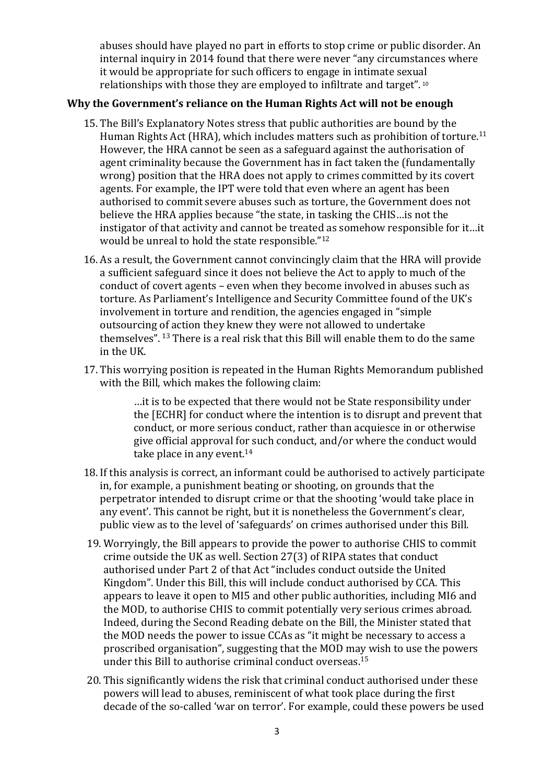abuses should have played no part in efforts to stop crime or public disorder. An internal inquiry in 2014 found that there were never "any circumstances where it would be appropriate for such officers to engage in intimate sexual relationships with those they are employed to infiltrate and target". <sup>10</sup>

## **Why the Government's reliance on the Human Rights Act will not be enough**

- 15. The Bill's Explanatory Notes stress that public authorities are bound by the Human Rights Act (HRA), which includes matters such as prohibition of torture.<sup>11</sup> However, the HRA cannot be seen as a safeguard against the authorisation of agent criminality because the Government has in fact taken the (fundamentally wrong) position that the HRA does not apply to crimes committed by its covert agents. For example, the IPT were told that even where an agent has been authorised to commit severe abuses such as torture, the Government does not believe the HRA applies because "the state, in tasking the CHIS…is not the instigator of that activity and cannot be treated as somehow responsible for it…it would be unreal to hold the state responsible."<sup>12</sup>
- 16. As a result, the Government cannot convincingly claim that the HRA will provide a sufficient safeguard since it does not believe the Act to apply to much of the conduct of covert agents – even when they become involved in abuses such as torture. As Parliament's Intelligence and Security Committee found of the UK's involvement in torture and rendition, the agencies engaged in "simple outsourcing of action they knew they were not allowed to undertake themselves". <sup>13</sup> There is a real risk that this Bill will enable them to do the same in the UK.
- 17. This worrying position is repeated in the Human Rights Memorandum published with the Bill, which makes the following claim:

…it is to be expected that there would not be State responsibility under the [ECHR] for conduct where the intention is to disrupt and prevent that conduct, or more serious conduct, rather than acquiesce in or otherwise give official approval for such conduct, and/or where the conduct would take place in any event.<sup>14</sup>

- 18. If this analysis is correct, an informant could be authorised to actively participate in, for example, a punishment beating or shooting, on grounds that the perpetrator intended to disrupt crime or that the shooting 'would take place in any event'. This cannot be right, but it is nonetheless the Government's clear, public view as to the level of 'safeguards' on crimes authorised under this Bill.
- 19. Worryingly, the Bill appears to provide the power to authorise CHIS to commit crime outside the UK as well. Section 27(3) of RIPA states that conduct authorised under Part 2 of that Act "includes conduct outside the United Kingdom". Under this Bill, this will include conduct authorised by CCA. This appears to leave it open to MI5 and other public authorities, including MI6 and the MOD, to authorise CHIS to commit potentially very serious crimes abroad. Indeed, during the Second Reading debate on the Bill, the Minister stated that the MOD needs the power to issue CCAs as "it might be necessary to access a proscribed organisation", suggesting that the MOD may wish to use the powers under this Bill to authorise criminal conduct overseas.<sup>15</sup>
- 20. This significantly widens the risk that criminal conduct authorised under these powers will lead to abuses, reminiscent of what took place during the first decade of the so-called 'war on terror'. For example, could these powers be used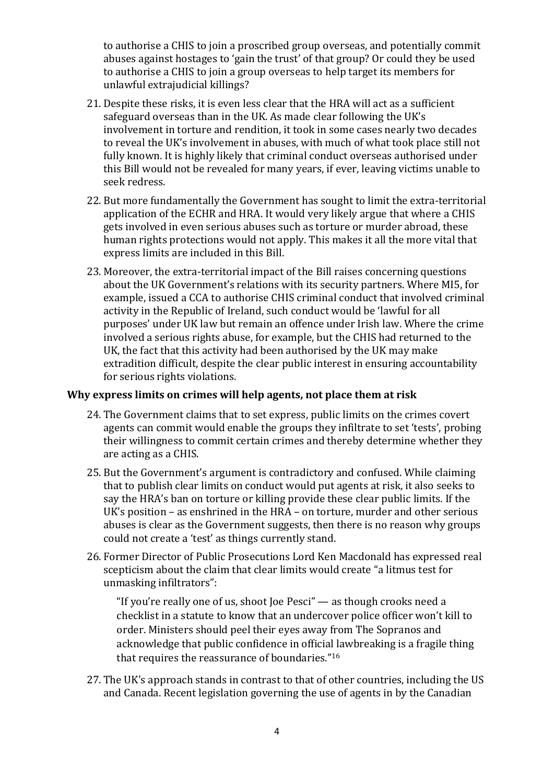to authorise a CHIS to join a proscribed group overseas, and potentially commit abuses against hostages to 'gain the trust' of that group? Or could they be used to authorise a CHIS to join a group overseas to help target its members for unlawful extrajudicial killings?

- 21. Despite these risks, it is even less clear that the HRA will act as a sufficient safeguard overseas than in the UK. As made clear following the UK's involvement in torture and rendition, it took in some cases nearly two decades to reveal the UK's involvement in abuses, with much of what took place still not fully known. It is highly likely that criminal conduct overseas authorised under this Bill would not be revealed for many years, if ever, leaving victims unable to seek redress.
- 22. But more fundamentally the Government has sought to limit the extra-territorial application of the ECHR and HRA. It would very likely argue that where a CHIS gets involved in even serious abuses such as torture or murder abroad, these human rights protections would not apply. This makes it all the more vital that express limits are included in this Bill.
- 23. Moreover, the extra-territorial impact of the Bill raises concerning questions about the UK Government's relations with its security partners. Where MI5, for example, issued a CCA to authorise CHIS criminal conduct that involved criminal activity in the Republic of Ireland, such conduct would be 'lawful for all purposes' under UK law but remain an offence under Irish law. Where the crime involved a serious rights abuse, for example, but the CHIS had returned to the UK, the fact that this activity had been authorised by the UK may make extradition difficult, despite the clear public interest in ensuring accountability for serious rights violations.

### **Why express limits on crimes will help agents, not place them at risk**

- 24. The Government claims that to set express, public limits on the crimes covert agents can commit would enable the groups they infiltrate to set 'tests', probing their willingness to commit certain crimes and thereby determine whether they are acting as a CHIS.
- 25. But the Government's argument is contradictory and confused. While claiming that to publish clear limits on conduct would put agents at risk, it also seeks to say the HRA's ban on torture or killing provide these clear public limits. If the UK's position – as enshrined in the HRA – on torture, murder and other serious abuses is clear as the Government suggests, then there is no reason why groups could not create a 'test' as things currently stand.
- 26. Former Director of Public Prosecutions Lord Ken Macdonald has expressed real scepticism about the claim that clear limits would create "a litmus test for unmasking infiltrators":

"If you're really one of us, shoot Joe Pesci" — as though crooks need a checklist in a statute to know that an undercover police officer won't kill to order. Ministers should peel their eyes away from The Sopranos and acknowledge that public confidence in official lawbreaking is a fragile thing that requires the reassurance of boundaries."<sup>16</sup>

27. The UK's approach stands in contrast to that of other countries, including the US and Canada. Recent legislation governing the use of agents in by the Canadian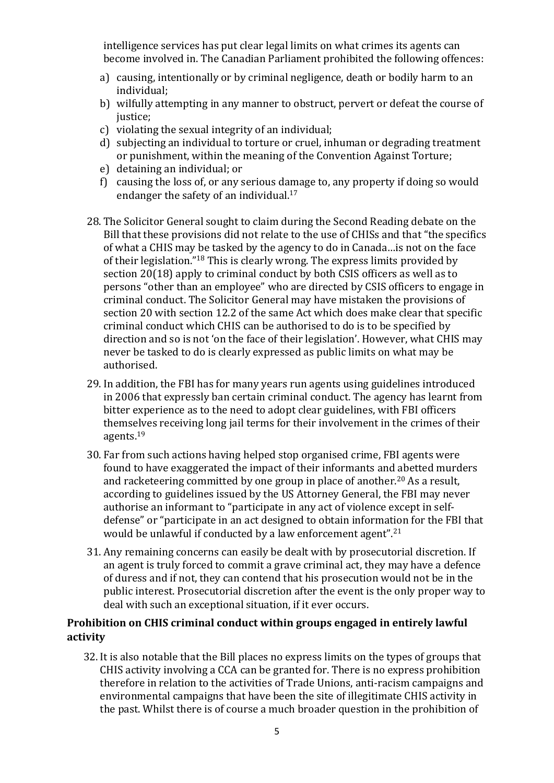intelligence services has put clear legal limits on what crimes its agents can become involved in. The Canadian Parliament prohibited the following offences:

- a) causing, intentionally or by criminal negligence, death or bodily harm to an individual;
- b) wilfully attempting in any manner to obstruct, pervert or defeat the course of justice;
- c) violating the sexual integrity of an individual;
- d) subjecting an individual to torture or cruel, inhuman or degrading treatment or punishment, within the meaning of the Convention Against Torture;
- e) detaining an individual; or
- f) causing the loss of, or any serious damage to, any property if doing so would endanger the safety of an individual.<sup>17</sup>
- 28. The Solicitor General sought to claim during the Second Reading debate on the Bill that these provisions did not relate to the use of CHISs and that "the specifics of what a CHIS may be tasked by the agency to do in Canada…is not on the face of their legislation."<sup>18</sup> This is clearly wrong. The express limits provided by section 20(18) apply to criminal conduct by both CSIS officers as well as to persons "other than an employee" who are directed by CSIS officers to engage in criminal conduct. The Solicitor General may have mistaken the provisions of section 20 with section 12.2 of the same Act which does make clear that specific criminal conduct which CHIS can be authorised to do is to be specified by direction and so is not 'on the face of their legislation'. However, what CHIS may never be tasked to do is clearly expressed as public limits on what may be authorised.
- 29. In addition, the FBI has for many years run agents using guidelines introduced in 2006 that expressly ban certain criminal conduct. The agency has learnt from bitter experience as to the need to adopt clear guidelines, with FBI officers themselves receiving long jail terms for their involvement in the crimes of their agents.<sup>19</sup>
- 30. Far from such actions having helped stop organised crime, FBI agents were found to have exaggerated the impact of their informants and abetted murders and racketeering committed by one group in place of another.<sup>20</sup> As a result, according to guidelines issued by the US Attorney General, the FBI may never authorise an informant to "participate in any act of violence except in selfdefense" or "participate in an act designed to obtain information for the FBI that would be unlawful if conducted by a law enforcement agent".<sup>21</sup>
- 31. Any remaining concerns can easily be dealt with by prosecutorial discretion. If an agent is truly forced to commit a grave criminal act, they may have a defence of duress and if not, they can contend that his prosecution would not be in the public interest. Prosecutorial discretion after the event is the only proper way to deal with such an exceptional situation, if it ever occurs.

# **Prohibition on CHIS criminal conduct within groups engaged in entirely lawful activity**

32. It is also notable that the Bill places no express limits on the types of groups that CHIS activity involving a CCA can be granted for. There is no express prohibition therefore in relation to the activities of Trade Unions, anti-racism campaigns and environmental campaigns that have been the site of illegitimate CHIS activity in the past. Whilst there is of course a much broader question in the prohibition of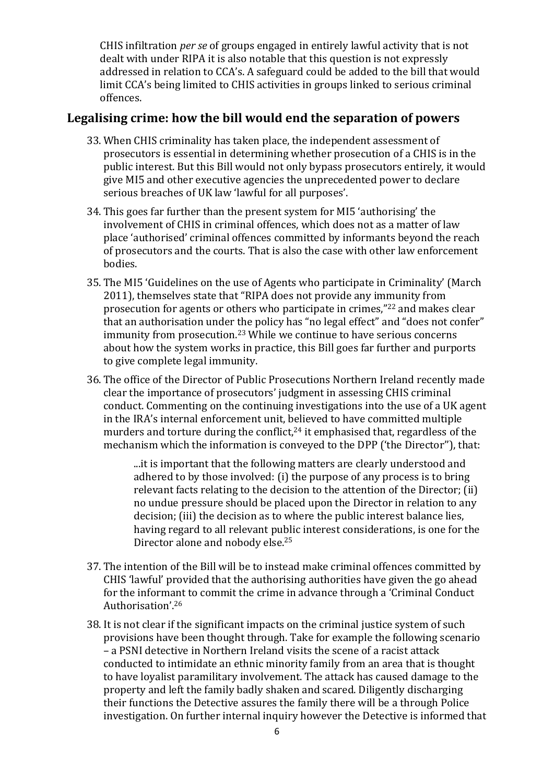CHIS infiltration *per se* of groups engaged in entirely lawful activity that is not dealt with under RIPA it is also notable that this question is not expressly addressed in relation to CCA's. A safeguard could be added to the bill that would limit CCA's being limited to CHIS activities in groups linked to serious criminal offences.

# **Legalising crime: how the bill would end the separation of powers**

- 33. When CHIS criminality has taken place, the independent assessment of prosecutors is essential in determining whether prosecution of a CHIS is in the public interest. But this Bill would not only bypass prosecutors entirely, it would give MI5 and other executive agencies the unprecedented power to declare serious breaches of UK law 'lawful for all purposes'.
- 34. This goes far further than the present system for MI5 'authorising' the involvement of CHIS in criminal offences, which does not as a matter of law place 'authorised' criminal offences committed by informants beyond the reach of prosecutors and the courts. That is also the case with other law enforcement bodies.
- 35. The MI5 'Guidelines on the use of Agents who participate in Criminality' (March 2011), themselves state that "RIPA does not provide any immunity from prosecution for agents or others who participate in crimes,"<sup>22</sup> and makes clear that an authorisation under the policy has "no legal effect" and "does not confer" immunity from prosecution.<sup>23</sup> While we continue to have serious concerns about how the system works in practice, this Bill goes far further and purports to give complete legal immunity.
- 36. The office of the Director of Public Prosecutions Northern Ireland recently made clear the importance of prosecutors' judgment in assessing CHIS criminal conduct. Commenting on the continuing investigations into the use of a UK agent in the IRA's internal enforcement unit, believed to have committed multiple murders and torture during the conflict, $24$  it emphasised that, regardless of the mechanism which the information is conveyed to the DPP ('the Director''), that:

...it is important that the following matters are clearly understood and adhered to by those involved: (i) the purpose of any process is to bring relevant facts relating to the decision to the attention of the Director; (ii) no undue pressure should be placed upon the Director in relation to any decision; (iii) the decision as to where the public interest balance lies, having regard to all relevant public interest considerations, is one for the Director alone and nobody else.<sup>25</sup>

- 37. The intention of the Bill will be to instead make criminal offences committed by CHIS 'lawful' provided that the authorising authorities have given the go ahead for the informant to commit the crime in advance through a 'Criminal Conduct Authorisation'.<sup>26</sup>
- 38. It is not clear if the significant impacts on the criminal justice system of such provisions have been thought through. Take for example the following scenario – a PSNI detective in Northern Ireland visits the scene of a racist attack conducted to intimidate an ethnic minority family from an area that is thought to have loyalist paramilitary involvement. The attack has caused damage to the property and left the family badly shaken and scared. Diligently discharging their functions the Detective assures the family there will be a through Police investigation. On further internal inquiry however the Detective is informed that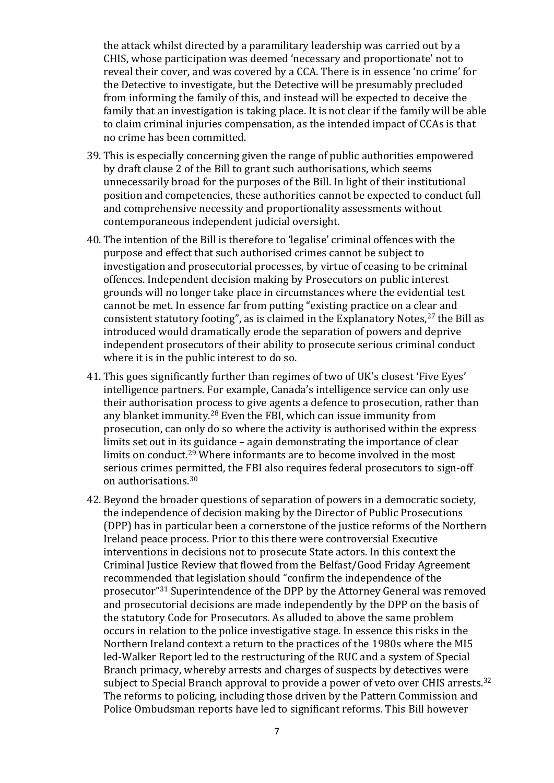the attack whilst directed by a paramilitary leadership was carried out by a CHIS, whose participation was deemed 'necessary and proportionate' not to reveal their cover, and was covered by a CCA. There is in essence 'no crime' for the Detective to investigate, but the Detective will be presumably precluded from informing the family of this, and instead will be expected to deceive the family that an investigation is taking place. It is not clear if the family will be able to claim criminal injuries compensation, as the intended impact of CCAs is that no crime has been committed.

- 39. This is especially concerning given the range of public authorities empowered by draft clause 2 of the Bill to grant such authorisations, which seems unnecessarily broad for the purposes of the Bill. In light of their institutional position and competencies, these authorities cannot be expected to conduct full and comprehensive necessity and proportionality assessments without contemporaneous independent judicial oversight.
- 40. The intention of the Bill is therefore to 'legalise' criminal offences with the purpose and effect that such authorised crimes cannot be subject to investigation and prosecutorial processes, by virtue of ceasing to be criminal offences. Independent decision making by Prosecutors on public interest grounds will no longer take place in circumstances where the evidential test cannot be met. In essence far from putting "existing practice on a clear and consistent statutory footing", as is claimed in the Explanatory Notes, $27$  the Bill as introduced would dramatically erode the separation of powers and deprive independent prosecutors of their ability to prosecute serious criminal conduct where it is in the public interest to do so.
- 41. This goes significantly further than regimes of two of UK's closest 'Five Eyes' intelligence partners. For example, Canada's intelligence service can only use their authorisation process to give agents a defence to prosecution, rather than any blanket immunity.<sup>28</sup> Even the FBI, which can issue immunity from prosecution, can only do so where the activity is authorised within the express limits set out in its guidance – again demonstrating the importance of clear limits on conduct.<sup>29</sup> Where informants are to become involved in the most serious crimes permitted, the FBI also requires federal prosecutors to sign-off on authorisations.<sup>30</sup>
- 42. Beyond the broader questions of separation of powers in a democratic society, the independence of decision making by the Director of Public Prosecutions (DPP) has in particular been a cornerstone of the justice reforms of the Northern Ireland peace process. Prior to this there were controversial Executive interventions in decisions not to prosecute State actors. In this context the Criminal Justice Review that flowed from the Belfast/Good Friday Agreement recommended that legislation should "confirm the independence of the prosecutor"<sup>31</sup> Superintendence of the DPP by the Attorney General was removed and prosecutorial decisions are made independently by the DPP on the basis of the statutory Code for Prosecutors. As alluded to above the same problem occurs in relation to the police investigative stage. In essence this risks in the Northern Ireland context a return to the practices of the 1980s where the MI5 led-Walker Report led to the restructuring of the RUC and a system of Special Branch primacy, whereby arrests and charges of suspects by detectives were subject to Special Branch approval to provide a power of veto over CHIS arrests.<sup>32</sup> The reforms to policing, including those driven by the Pattern Commission and Police Ombudsman reports have led to significant reforms. This Bill however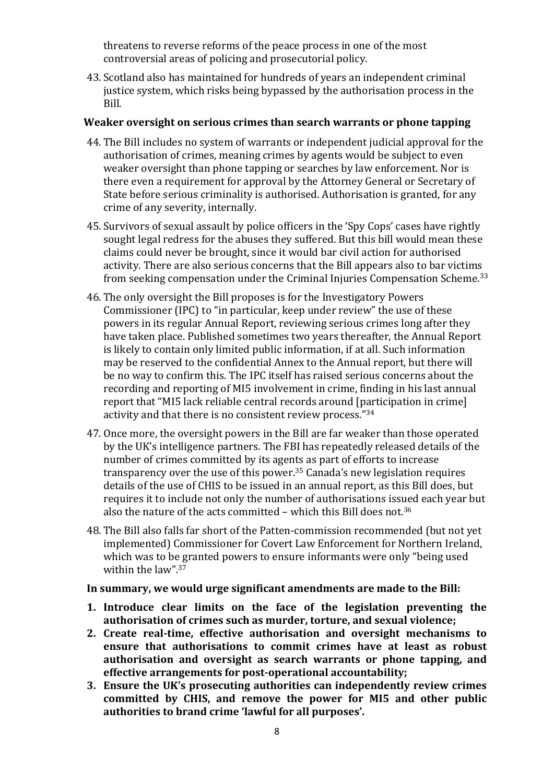threatens to reverse reforms of the peace process in one of the most controversial areas of policing and prosecutorial policy.

43. Scotland also has maintained for hundreds of years an independent criminal justice system, which risks being bypassed by the authorisation process in the Bill.

## **Weaker oversight on serious crimes than search warrants or phone tapping**

- 44. The Bill includes no system of warrants or independent judicial approval for the authorisation of crimes, meaning crimes by agents would be subject to even weaker oversight than phone tapping or searches by law enforcement. Nor is there even a requirement for approval by the Attorney General or Secretary of State before serious criminality is authorised. Authorisation is granted, for any crime of any severity, internally.
- 45. Survivors of sexual assault by police officers in the 'Spy Cops' cases have rightly sought legal redress for the abuses they suffered. But this bill would mean these claims could never be brought, since it would bar civil action for authorised activity. There are also serious concerns that the Bill appears also to bar victims from seeking compensation under the Criminal Injuries Compensation Scheme.<sup>33</sup>
- 46. The only oversight the Bill proposes is for the Investigatory Powers Commissioner (IPC) to "in particular, keep under review" the use of these powers in its regular Annual Report, reviewing serious crimes long after they have taken place. Published sometimes two years thereafter, the Annual Report is likely to contain only limited public information, if at all. Such information may be reserved to the confidential Annex to the Annual report, but there will be no way to confirm this. The IPC itself has raised serious concerns about the recording and reporting of MI5 involvement in crime, finding in his last annual report that "MI5 lack reliable central records around [participation in crime] activity and that there is no consistent review process."<sup>34</sup>
- 47. Once more, the oversight powers in the Bill are far weaker than those operated by the UK's intelligence partners. The FBI has repeatedly released details of the number of crimes committed by its agents as part of efforts to increase transparency over the use of this power. $35$  Canada's new legislation requires details of the use of CHIS to be issued in an annual report, as this Bill does, but requires it to include not only the number of authorisations issued each year but also the nature of the acts committed – which this Bill does not.<sup>36</sup>
- 48. The Bill also falls far short of the Patten-commission recommended (but not yet implemented) Commissioner for Covert Law Enforcement for Northern Ireland, which was to be granted powers to ensure informants were only "being used within the law".<sup>37</sup>

#### **In summary, we would urge significant amendments are made to the Bill:**

- **1. Introduce clear limits on the face of the legislation preventing the authorisation of crimes such as murder, torture, and sexual violence;**
- **2. Create real-time, effective authorisation and oversight mechanisms to ensure that authorisations to commit crimes have at least as robust authorisation and oversight as search warrants or phone tapping, and effective arrangements for post-operational accountability;**
- **3. Ensure the UK's prosecuting authorities can independently review crimes committed by CHIS, and remove the power for MI5 and other public authorities to brand crime 'lawful for all purposes'.**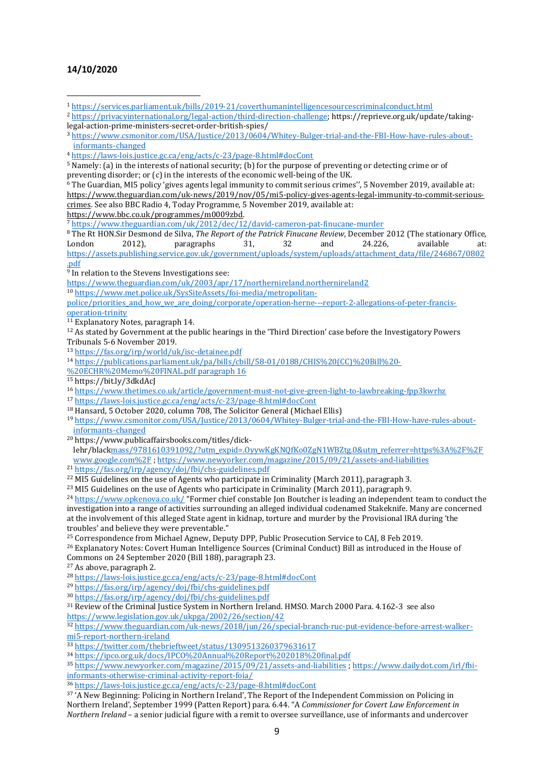#### **14/10/2020**

<sup>2</sup> <https://privacyinternational.org/legal-action/third-direction-challenge>; https://reprieve.org.uk/update/takinglegal-action-prime-ministers-secret-order-british-spies/

<sup>5</sup> Namely: (a) in the interests of national security; (b) for the purpose of preventing or detecting crime or of preventing disorder; or (c) in the interests of the economic well-being of the UK.

<sup>6</sup> The Guardian, MI5 policy 'gives agents legal immunity to commit serious crimes'', 5 November 2019, available at: [https://www.theguardian.com/uk-news/2019/nov/05/mi5-policy-gives-agents-legal-immunity-to-commit-serious](https://www.theguardian.com/uk-news/2019/nov/05/mi5-policy-gives-agents-legal-immunity-to-commit-serious-crimes)[crimes.](https://www.theguardian.com/uk-news/2019/nov/05/mi5-policy-gives-agents-legal-immunity-to-commit-serious-crimes) See also BBC Radio 4, Today Programme, 5 November 2019, available at: <https://www.bbc.co.uk/programmes/m0009zbd>.

<sup>7</sup> <https://www.theguardian.com/uk/2012/dec/12/david-cameron-pat-finucane-murder>

<sup>8</sup> The Rt HON.Sir Desmond de Silva, *The Report of the Patrick Finucane Review*, December 2012 (The stationary Office, London 2012), paragraphs 31, 32 and 24.226, available at: [https://assets.publishing.service.gov.uk/government/uploads/system/uploads/attachment\\_data/file/246867/0802](https://assets.publishing.service.gov.uk/government/uploads/system/uploads/attachment_data/file/246867/0802.pdf) [.pdf](https://assets.publishing.service.gov.uk/government/uploads/system/uploads/attachment_data/file/246867/0802.pdf)

<sup>9</sup> In relation to the Stevens Investigations see:

<https://www.theguardian.com/uk/2003/apr/17/northernireland.northernireland2>

<sup>10</sup> [https://www.met.police.uk/SysSiteAssets/foi-media/metropolitan-](https://www.met.police.uk/SysSiteAssets/foi-media/metropolitan-police/priorities_and_how_we_are_doing/corporate/operation-herne---report-2-allegations-of-peter-francis-operation-trinity)

police/priorities and how we are doing/corporate/operation-herne---report-2-allegations-of-peter-francis[operation-trinity](https://www.met.police.uk/SysSiteAssets/foi-media/metropolitan-police/priorities_and_how_we_are_doing/corporate/operation-herne---report-2-allegations-of-peter-francis-operation-trinity)

 $\frac{11}{11}$  Explanatory Notes, paragraph 14.

 $12$  As stated by Government at the public hearings in the 'Third Direction' case before the Investigatory Powers Tribunals 5-6 November 2019.

<sup>13</sup> <https://fas.org/irp/world/uk/isc-detainee.pdf>

<sup>14</sup> [https://publications.parliament.uk/pa/bills/cbill/58-01/0188/CHIS%20\(CC\)%20Bill%20-](https://publications.parliament.uk/pa/bills/cbill/58-01/0188/CHIS%20(CC)%20Bill%20-%20ECHR%20Memo%20FINAL.pdf)

[%20ECHR%20Memo%20FINAL.pdf](https://publications.parliament.uk/pa/bills/cbill/58-01/0188/CHIS%20(CC)%20Bill%20-%20ECHR%20Memo%20FINAL.pdf) paragraph 16

<sup>15</sup> https://bit.ly/3dkdAcJ

<sup>16</sup> <https://www.thetimes.co.uk/article/government-must-not-give-green-light-to-lawbreaking-fpp3kwrhz>

<sup>17</sup> <https://laws-lois.justice.gc.ca/eng/acts/c-23/page-8.html#docCont>

<sup>18</sup> Hansard, 5 October 2020, column 708, The Solicitor General (Michael Ellis)

<sup>19</sup> [https://www.csmonitor.com/USA/Justice/2013/0604/Whitey-Bulger-trial-and-the-FBI-How-have-rules-about](https://www.csmonitor.com/USA/Justice/2013/0604/Whitey-Bulger-trial-and-the-FBI-How-have-rules-about-informants-changed)[informants-changed](https://www.csmonitor.com/USA/Justice/2013/0604/Whitey-Bulger-trial-and-the-FBI-How-have-rules-about-informants-changed)

<sup>20</sup> https://www.publicaffairsbooks.com/titles/dick-

lehr/blac[kmass/9781610391092/?utm\\_expid=.OyywKgKNQfKo0ZgN1WBZtg.0&utm\\_referrer=https%3A%2F%2F](https://www.publicaffairsbooks.com/titles/dick-lehr/black-mass/9781610391092/?utm_expid=.OyywKgKNQfKo0ZgN1WBZtg.0&utm_referrer=https%3A%2F%2Fwww.google.com%2F) [www.google.com%2F](https://www.publicaffairsbooks.com/titles/dick-lehr/black-mass/9781610391092/?utm_expid=.OyywKgKNQfKo0ZgN1WBZtg.0&utm_referrer=https%3A%2F%2Fwww.google.com%2F) ; <https://www.newyorker.com/magazine/2015/09/21/assets-and-liabilities>

<sup>21</sup> <https://fas.org/irp/agency/doj/fbi/chs-guidelines.pdf>

<sup>22</sup> MI5 Guidelines on the use of Agents who participate in Criminality (March 2011), paragraph 3.

<sup>23</sup> MI5 Guidelines on the use of Agents who participate in Criminality (March 2011), paragraph 9.

<sup>24</sup> <https://www.opkenova.co.uk/> "Former chief constable Jon Boutcher is leading an independent team to conduct the investigation into a range of activities surrounding an alleged individual codenamed Stakeknife. Many are concerned at the involvement of this alleged State agent in kidnap, torture and murder by the Provisional IRA during 'the troubles' and believe they were preventable."

<sup>25</sup> Correspondence from Michael Agnew, Deputy DPP, Public Prosecution Service to CAJ, 8 Feb 2019.

<sup>26</sup> Explanatory Notes: Covert Human Intelligence Sources (Criminal Conduct) Bill as introduced in the House of Commons on 24 September 2020 (Bill 188), paragraph 23.

<sup>27</sup> As above, paragraph 2.

<sup>28</sup> <https://laws-lois.justice.gc.ca/eng/acts/c-23/page-8.html#docCont>

<sup>29</sup> <https://fas.org/irp/agency/doj/fbi/chs-guidelines.pdf>

<sup>30</sup> <https://fas.org/irp/agency/doj/fbi/chs-guidelines.pdf>

<sup>31</sup> Review of the Criminal Justice System in Northern Ireland. HMSO. March 2000 Para. 4.162-3 see also <https://www.legislation.gov.uk/ukpga/2002/26/section/42>

<sup>32</sup> [https://www.theguardian.com/uk-news/2018/jun/26/special-branch-ruc-put-evidence-before-arrest-walker](https://www.theguardian.com/uk-news/2018/jun/26/special-branch-ruc-put-evidence-before-arrest-walker-mi5-report-northern-ireland)[mi5-report-northern-ireland](https://www.theguardian.com/uk-news/2018/jun/26/special-branch-ruc-put-evidence-before-arrest-walker-mi5-report-northern-ireland)

<sup>33</sup> <https://twitter.com/thebrieftweet/status/1309513260379631617>

<sup>34</sup> <https://ipco.org.uk/docs/IPCO%20Annual%20Report%202018%20final.pdf>

<sup>35</sup> <https://www.newyorker.com/magazine/2015/09/21/assets-and-liabilities> ; [https://www.dailydot.com/irl/fbi](https://www.dailydot.com/irl/fbi-informants-otherwise-criminal-activity-report-foia/)[informants-otherwise-criminal-activity-report-foia/](https://www.dailydot.com/irl/fbi-informants-otherwise-criminal-activity-report-foia/)

<sup>36</sup> <https://laws-lois.justice.gc.ca/eng/acts/c-23/page-8.html#docCont>

<sup>37</sup> 'A New Beginning: Policing in Northern Ireland', The Report of the Independent Commission on Policing in Northern Ireland', September 1999 (Patten Report) para. 6.44. "A *Commissioner for Covert Law Enforcement in Northern Ireland* – a senior judicial figure with a remit to oversee surveillance, use of informants and undercover

<sup>1</sup> <https://services.parliament.uk/bills/2019-21/coverthumanintelligencesourcescriminalconduct.html>

<sup>3</sup> [https://www.csmonitor.com/USA/Justice/2013/0604/Whitey-Bulger-trial-and-the-FBI-How-have-rules-about](https://www.csmonitor.com/USA/Justice/2013/0604/Whitey-Bulger-trial-and-the-FBI-How-have-rules-about-informants-changed)[informants-changed](https://www.csmonitor.com/USA/Justice/2013/0604/Whitey-Bulger-trial-and-the-FBI-How-have-rules-about-informants-changed)

<sup>4</sup> <https://laws-lois.justice.gc.ca/eng/acts/c-23/page-8.html#docCont>